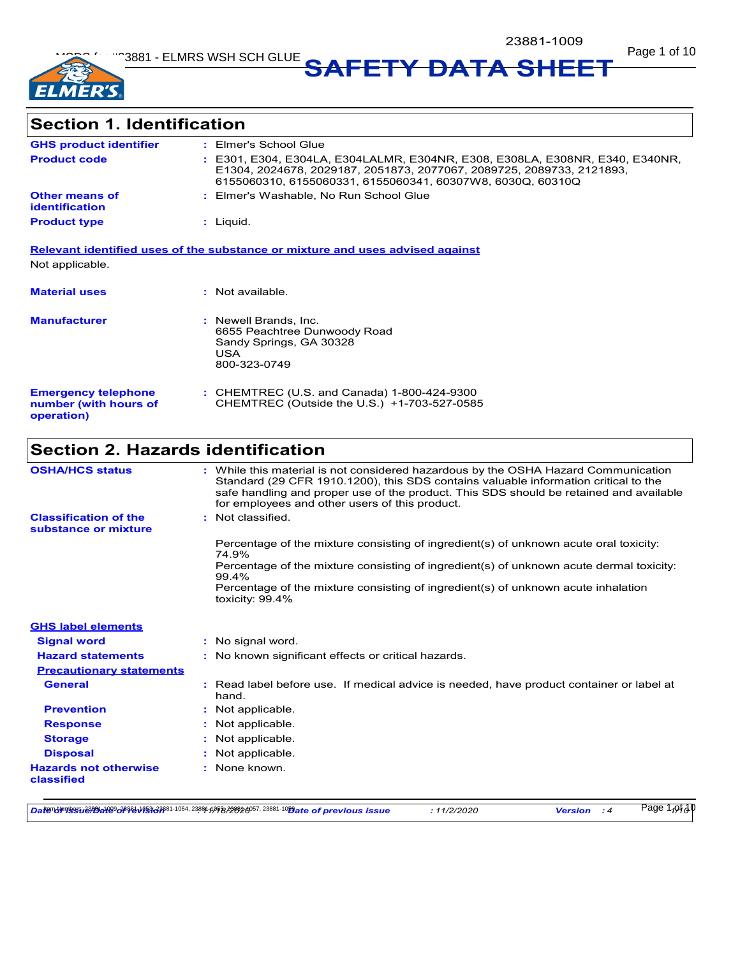

**Section 1. Identification**

| <b>GHS product identifier</b>                  | : Elmer's School Glue                                                                                                                                                                                               |
|------------------------------------------------|---------------------------------------------------------------------------------------------------------------------------------------------------------------------------------------------------------------------|
| <b>Product code</b>                            | : E301, E304, E304LA, E304LALMR, E304NR, E308, E308LA, E308NR, E340, E340NR,<br>E1304, 2024678, 2029187, 2051873, 2077067, 2089725, 2089733, 2121893,<br>6155060310, 6155060331, 6155060341, 60307W8, 6030Q, 60310Q |
| <b>Other means of</b><br><b>identification</b> | : Elmer's Washable, No Run School Glue                                                                                                                                                                              |
| <b>Product type</b>                            | $:$ Liquid.                                                                                                                                                                                                         |
| Not applicable.                                | Relevant identified uses of the substance or mixture and uses advised against                                                                                                                                       |
| <b>Material uses</b>                           | : Not available.                                                                                                                                                                                                    |
|                                                |                                                                                                                                                                                                                     |
| <b>Manufacturer</b>                            | : Newell Brands, Inc.<br>6655 Peachtree Dunwoody Road<br>Sandy Springs, GA 30328<br>USA<br>800-323-0749                                                                                                             |

| <b>Emergency telephone</b> | : CHEMTREC (U.S. and Canada) 1-800-424-9300 |
|----------------------------|---------------------------------------------|
| number (with hours of      | CHEMTREC (Outside the U.S.) +1-703-527-0585 |
| operation)                 |                                             |

# **Section 2. Hazards identification**

| <b>OSHA/HCS status</b>                               | : While this material is not considered hazardous by the OSHA Hazard Communication<br>Standard (29 CFR 1910.1200), this SDS contains valuable information critical to the<br>safe handling and proper use of the product. This SDS should be retained and available<br>for employees and other users of this product. |
|------------------------------------------------------|-----------------------------------------------------------------------------------------------------------------------------------------------------------------------------------------------------------------------------------------------------------------------------------------------------------------------|
| <b>Classification of the</b><br>substance or mixture | : Not classified.                                                                                                                                                                                                                                                                                                     |
|                                                      | Percentage of the mixture consisting of ingredient(s) of unknown acute oral toxicity:<br>74.9%                                                                                                                                                                                                                        |
|                                                      | Percentage of the mixture consisting of ingredient(s) of unknown acute dermal toxicity:<br>99.4%                                                                                                                                                                                                                      |
|                                                      | Percentage of the mixture consisting of ingredient(s) of unknown acute inhalation<br>toxicity: 99.4%                                                                                                                                                                                                                  |
| <b>GHS label elements</b>                            |                                                                                                                                                                                                                                                                                                                       |
| <b>Signal word</b>                                   | : No signal word.                                                                                                                                                                                                                                                                                                     |
| <b>Hazard statements</b>                             | : No known significant effects or critical hazards.                                                                                                                                                                                                                                                                   |
| <b>Precautionary statements</b>                      |                                                                                                                                                                                                                                                                                                                       |
| <b>General</b>                                       | Read label before use. If medical advice is needed, have product container or label at<br>hand.                                                                                                                                                                                                                       |
| <b>Prevention</b>                                    | Not applicable.                                                                                                                                                                                                                                                                                                       |
| <b>Response</b>                                      | Not applicable.                                                                                                                                                                                                                                                                                                       |
| <b>Storage</b>                                       | Not applicable.                                                                                                                                                                                                                                                                                                       |
| <b>Disposal</b>                                      | Not applicable.                                                                                                                                                                                                                                                                                                       |
| <b>Hazards not otherwise</b><br>classified           | None known.                                                                                                                                                                                                                                                                                                           |

*Date of issue/Date of revision* **:** *11/18/2020 Date of previous issue : 11/2/2020 Version : 4 1/10* Item Numbers: 23881-1009, 23881-1053, 23881-1054, 23881-1055, 23881-1057, 23881-1059 Page 1 of 10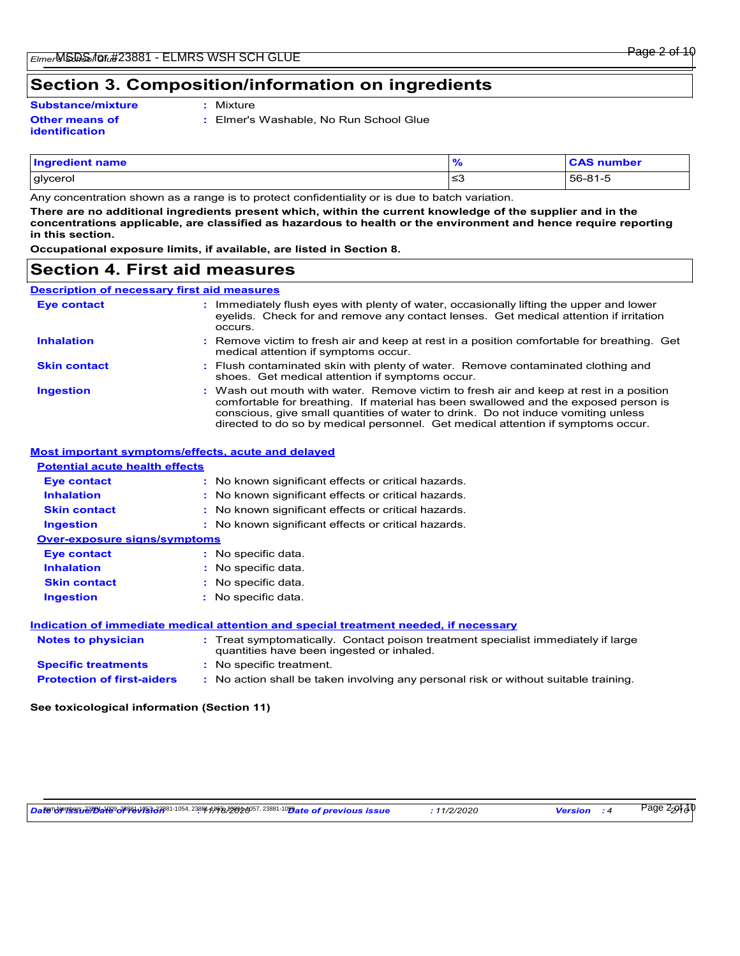# **Section 3. Composition/information on ingredients**

#### **Other means of identification Substance/mixture :**

- Mixture
- **:** Elmer's Washable, No Run School Glue

| Ingredient name |           | <b>CAS number</b> |
|-----------------|-----------|-------------------|
| glycerol        | --<br>ت≥ا | 56-81-5           |

Any concentration shown as a range is to protect confidentiality or is due to batch variation.

**There are no additional ingredients present which, within the current knowledge of the supplier and in the concentrations applicable, are classified as hazardous to health or the environment and hence require reporting in this section.**

**Occupational exposure limits, if available, are listed in Section 8.**

# **Section 4. First aid measures**

## **Description of necessary first aid measures**

| Eye contact                                          | : Immediately flush eyes with plenty of water, occasionally lifting the upper and lower<br>eyelids. Check for and remove any contact lenses. Get medical attention if irritation<br>occurs.                                                                                                                                                            |
|------------------------------------------------------|--------------------------------------------------------------------------------------------------------------------------------------------------------------------------------------------------------------------------------------------------------------------------------------------------------------------------------------------------------|
| <b>Inhalation</b>                                    | : Remove victim to fresh air and keep at rest in a position comfortable for breathing. Get<br>medical attention if symptoms occur.                                                                                                                                                                                                                     |
| <b>Skin contact</b>                                  | : Flush contaminated skin with plenty of water. Remove contaminated clothing and<br>shoes. Get medical attention if symptoms occur.                                                                                                                                                                                                                    |
| <b>Ingestion</b>                                     | : Wash out mouth with water. Remove victim to fresh air and keep at rest in a position<br>comfortable for breathing. If material has been swallowed and the exposed person is<br>conscious, give small quantities of water to drink. Do not induce vomiting unless<br>directed to do so by medical personnel. Get medical attention if symptoms occur. |
| Meet immentent ermontemeleffeete, eerde end delerred |                                                                                                                                                                                                                                                                                                                                                        |

#### **Most important symptoms/effects, acute and delayed**

| <b>Potential acute health effects</b>                                                |                                                                                                                                |  |
|--------------------------------------------------------------------------------------|--------------------------------------------------------------------------------------------------------------------------------|--|
| <b>Eye contact</b>                                                                   | : No known significant effects or critical hazards.                                                                            |  |
| <b>Inhalation</b>                                                                    | : No known significant effects or critical hazards.                                                                            |  |
| <b>Skin contact</b>                                                                  | : No known significant effects or critical hazards.                                                                            |  |
| <b>Ingestion</b>                                                                     | : No known significant effects or critical hazards.                                                                            |  |
| <b>Over-exposure signs/symptoms</b>                                                  |                                                                                                                                |  |
| <b>Eye contact</b>                                                                   | : No specific data.                                                                                                            |  |
| <b>Inhalation</b>                                                                    | : No specific data.                                                                                                            |  |
| <b>Skin contact</b>                                                                  | : No specific data.                                                                                                            |  |
| <b>Ingestion</b>                                                                     | No specific data.                                                                                                              |  |
| Indication of immediate medical attention and special treatment needed, if necessary |                                                                                                                                |  |
| <b>Notes to physician</b>                                                            | : Treat symptomatically. Contact poison treatment specialist immediately if large<br>quantities have been ingested or inhaled. |  |

|                                   | quantities have been ingested or innaled.                                            |
|-----------------------------------|--------------------------------------------------------------------------------------|
| <b>Specific treatments</b>        | : No specific treatment.                                                             |
| <b>Protection of first-aiders</b> | : No action shall be taken involving any personal risk or without suitable training. |

**See toxicological information (Section 11)**

*Date of issue/Date of revision* **:** *11/18/2020 Date of previous issue : 11/2/2020 Version : 4 2/10* Item Numbers: 23881-1009, 23881-1053, 23881-1054, 23881-1055, 23881-1057, 23881-1059 Page 2 of 10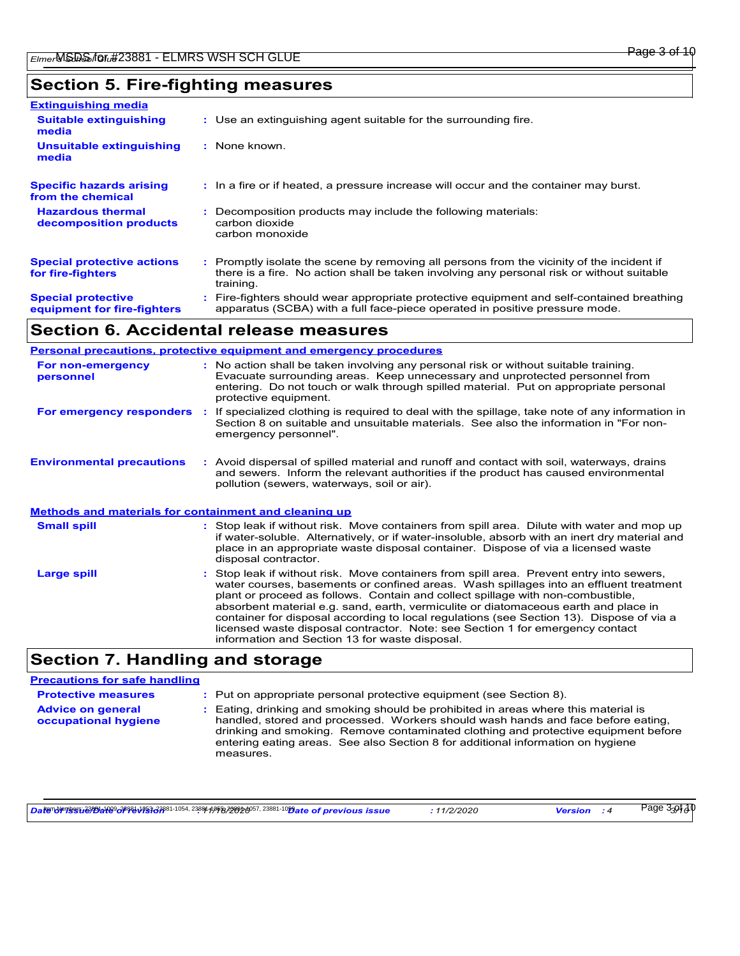# **Section 5. Fire-fighting measures**

| <b>Extinguishing media</b>                               |                                                                                                                                                                                                     |
|----------------------------------------------------------|-----------------------------------------------------------------------------------------------------------------------------------------------------------------------------------------------------|
| <b>Suitable extinguishing</b><br>media                   | : Use an extinguishing agent suitable for the surrounding fire.                                                                                                                                     |
| <b>Unsuitable extinguishing</b><br>media                 | : None known.                                                                                                                                                                                       |
| <b>Specific hazards arising</b><br>from the chemical     | : In a fire or if heated, a pressure increase will occur and the container may burst.                                                                                                               |
| <b>Hazardous thermal</b><br>decomposition products       | Decomposition products may include the following materials:<br>carbon dioxide<br>carbon monoxide                                                                                                    |
| <b>Special protective actions</b><br>for fire-fighters   | : Promptly isolate the scene by removing all persons from the vicinity of the incident if<br>there is a fire. No action shall be taken involving any personal risk or without suitable<br>training. |
| <b>Special protective</b><br>equipment for fire-fighters | : Fire-fighters should wear appropriate protective equipment and self-contained breathing<br>apparatus (SCBA) with a full face-piece operated in positive pressure mode.                            |

# **Section 6. Accidental release measures**

|                                                              | <b>Personal precautions, protective equipment and emergency procedures</b>                                                                                                                                                                                                                                                                                                                                                                                                                                                               |
|--------------------------------------------------------------|------------------------------------------------------------------------------------------------------------------------------------------------------------------------------------------------------------------------------------------------------------------------------------------------------------------------------------------------------------------------------------------------------------------------------------------------------------------------------------------------------------------------------------------|
| For non-emergency<br>personnel                               | : No action shall be taken involving any personal risk or without suitable training.<br>Evacuate surrounding areas. Keep unnecessary and unprotected personnel from<br>entering. Do not touch or walk through spilled material. Put on appropriate personal<br>protective equipment.                                                                                                                                                                                                                                                     |
| For emergency responders                                     | : If specialized clothing is required to deal with the spillage, take note of any information in<br>Section 8 on suitable and unsuitable materials. See also the information in "For non-<br>emergency personnel".                                                                                                                                                                                                                                                                                                                       |
| <b>Environmental precautions</b>                             | : Avoid dispersal of spilled material and runoff and contact with soil, waterways, drains<br>and sewers. Inform the relevant authorities if the product has caused environmental<br>pollution (sewers, waterways, soil or air).                                                                                                                                                                                                                                                                                                          |
| <b>Methods and materials for containment and cleaning up</b> |                                                                                                                                                                                                                                                                                                                                                                                                                                                                                                                                          |
| <b>Small spill</b>                                           | : Stop leak if without risk. Move containers from spill area. Dilute with water and mop up<br>if water-soluble. Alternatively, or if water-insoluble, absorb with an inert dry material and<br>place in an appropriate waste disposal container. Dispose of via a licensed waste<br>disposal contractor.                                                                                                                                                                                                                                 |
| <b>Large spill</b>                                           | : Stop leak if without risk. Move containers from spill area. Prevent entry into sewers,<br>water courses, basements or confined areas. Wash spillages into an effluent treatment<br>plant or proceed as follows. Contain and collect spillage with non-combustible,<br>absorbent material e.g. sand, earth, vermiculite or diatomaceous earth and place in<br>container for disposal according to local regulations (see Section 13). Dispose of via a<br>licensed waste disposal contractor. Note: see Section 1 for emergency contact |

## **Section 7. Handling and storage**

# **Precautions for safe handling**

| <b>Protective measures</b>                       | : Put on appropriate personal protective equipment (see Section 8).                                                                                                                                                                                                                                                                                           |
|--------------------------------------------------|---------------------------------------------------------------------------------------------------------------------------------------------------------------------------------------------------------------------------------------------------------------------------------------------------------------------------------------------------------------|
| <b>Advice on general</b><br>occupational hygiene | : Eating, drinking and smoking should be prohibited in areas where this material is<br>handled, stored and processed. Workers should wash hands and face before eating,<br>drinking and smoking. Remove contaminated clothing and protective equipment before<br>entering eating areas. See also Section 8 for additional information on hygiene<br>measures. |

*Date of issue/Date of revision* **:** *11/18/2020 Date of previous issue : 11/2/2020 Version : 4 3/10* Item Numbers: 23881-1009, 23881-1053, 23881-1054, 23881-1055, 23881-1057, 23881-1059 Page 3 of 10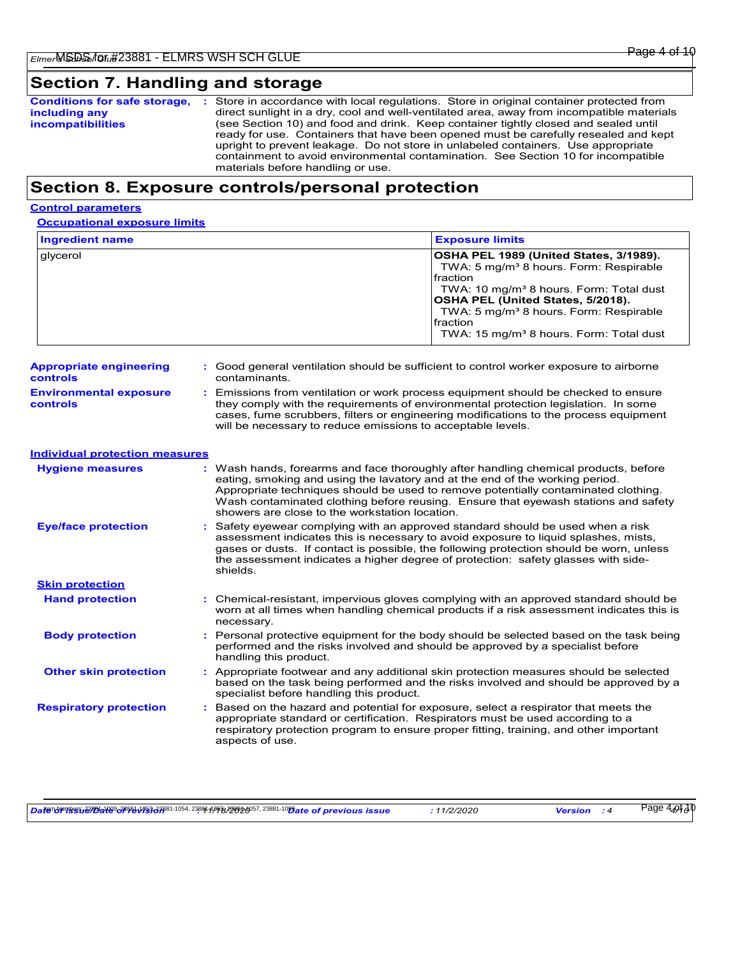# **Section 7. Handling and storage**

| <b>Conditions for safe storage,</b> | Store in accordance with local regulations. Store in original container protected from    |
|-------------------------------------|-------------------------------------------------------------------------------------------|
| including any                       | direct sunlight in a dry, cool and well-ventilated area, away from incompatible materials |
| <b>incompatibilities</b>            | (see Section 10) and food and drink. Keep container tightly closed and sealed until       |
|                                     | ready for use. Containers that have been opened must be carefully resealed and kept       |
|                                     | upright to prevent leakage. Do not store in unlabeled containers. Use appropriate         |
|                                     | containment to avoid environmental contamination. See Section 10 for incompatible         |
|                                     | materials before handling or use.                                                         |

# **Section 8. Exposure controls/personal protection**

## **Control parameters**

| <b>Ingredient name</b> | <b>Exposure limits</b>                                                                                                                                                                                                                                                                                                                |
|------------------------|---------------------------------------------------------------------------------------------------------------------------------------------------------------------------------------------------------------------------------------------------------------------------------------------------------------------------------------|
| glycerol               | OSHA PEL 1989 (United States, 3/1989).<br>TWA: 5 mg/m <sup>3</sup> 8 hours. Form: Respirable<br>Ifraction<br>TWA: 10 mg/m <sup>3</sup> 8 hours. Form: Total dust<br><b>OSHA PEL (United States, 5/2018).</b><br>TWA: 5 mg/m <sup>3</sup> 8 hours. Form: Respirable<br>fraction<br>TWA: 15 mg/m <sup>3</sup> 8 hours. Form: Total dust |

| <b>Appropriate engineering</b>            | : Good general ventilation should be sufficient to control worker exposure to airborne                                                                                                                                                                                                                                          |
|-------------------------------------------|---------------------------------------------------------------------------------------------------------------------------------------------------------------------------------------------------------------------------------------------------------------------------------------------------------------------------------|
| controls                                  | contaminants.                                                                                                                                                                                                                                                                                                                   |
| <b>Environmental exposure</b><br>controls | : Emissions from ventilation or work process equipment should be checked to ensure<br>they comply with the requirements of environmental protection legislation. In some<br>cases, fume scrubbers, filters or engineering modifications to the process equipment<br>will be necessary to reduce emissions to acceptable levels. |

| Individual protection measures |                                     |
|--------------------------------|-------------------------------------|
| <b>Hygiene measures</b>        | : Wash hands, fo<br>eating, smoking |

| <b>Hygiene measures</b>       | : Wash hands, forearms and face thoroughly after handling chemical products, before<br>eating, smoking and using the lavatory and at the end of the working period.<br>Appropriate techniques should be used to remove potentially contaminated clothing.<br>Wash contaminated clothing before reusing. Ensure that eyewash stations and safety<br>showers are close to the workstation location. |
|-------------------------------|---------------------------------------------------------------------------------------------------------------------------------------------------------------------------------------------------------------------------------------------------------------------------------------------------------------------------------------------------------------------------------------------------|
| <b>Eye/face protection</b>    | : Safety eyewear complying with an approved standard should be used when a risk<br>assessment indicates this is necessary to avoid exposure to liquid splashes, mists,<br>gases or dusts. If contact is possible, the following protection should be worn, unless<br>the assessment indicates a higher degree of protection: safety glasses with side-<br>shields.                                |
| <b>Skin protection</b>        |                                                                                                                                                                                                                                                                                                                                                                                                   |
| <b>Hand protection</b>        | : Chemical-resistant, impervious gloves complying with an approved standard should be<br>worn at all times when handling chemical products if a risk assessment indicates this is<br>necessary.                                                                                                                                                                                                   |
| <b>Body protection</b>        | : Personal protective equipment for the body should be selected based on the task being<br>performed and the risks involved and should be approved by a specialist before<br>handling this product.                                                                                                                                                                                               |
| <b>Other skin protection</b>  | : Appropriate footwear and any additional skin protection measures should be selected<br>based on the task being performed and the risks involved and should be approved by a<br>specialist before handling this product.                                                                                                                                                                         |
| <b>Respiratory protection</b> | : Based on the hazard and potential for exposure, select a respirator that meets the<br>appropriate standard or certification. Respirators must be used according to a<br>respiratory protection program to ensure proper fitting, training, and other important<br>aspects of use.                                                                                                               |

<u>Daterdrresബോജിയിൽ കൂട്ടി എന്ന് കൂട്ടുകളും നടന്ന് കൂട്ടുകളും നടന്ന് പ്രവർത്തിയില് നടന്ന് 2389/10</u>964.075 <mark>Page 4.07</mark>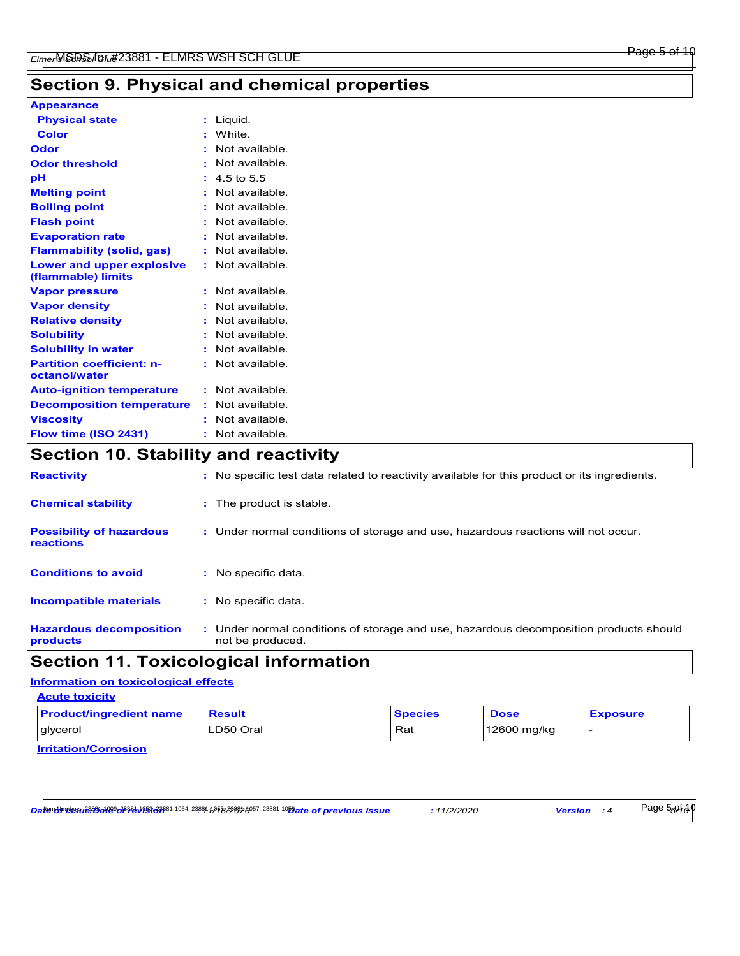# **Section 9. Physical and chemical properties**

# **Appearance**

| <b>Physical state</b>                                  | : Liquid.               |
|--------------------------------------------------------|-------------------------|
| <b>Color</b>                                           | : White.                |
| <b>Odor</b>                                            | : Not available.        |
| <b>Odor threshold</b>                                  | : Not available.        |
| рH                                                     | $: 4.5 \text{ to } 5.5$ |
| <b>Melting point</b>                                   | : Not available.        |
| <b>Boiling point</b>                                   | : Not available.        |
| <b>Flash point</b>                                     | : Not available.        |
| <b>Evaporation rate</b>                                | : Not available.        |
| <b>Flammability (solid, gas)</b>                       | : Not available.        |
| <b>Lower and upper explosive</b><br>(flammable) limits | : Not available.        |
| <b>Vapor pressure</b>                                  | : Not available.        |
| <b>Vapor density</b>                                   | : Not available.        |
| <b>Relative density</b>                                | : Not available.        |
| <b>Solubility</b>                                      | : Not available.        |
| <b>Solubility in water</b>                             | : Not available.        |
| <b>Partition coefficient: n-</b><br>octanol/water      | : Not available.        |
| <b>Auto-ignition temperature</b>                       | : Not available.        |
| <b>Decomposition temperature</b>                       | : Not available.        |
| <b>Viscosity</b>                                       | : Not available.        |
| Flow time (ISO 2431)<br>.                              | : Not available.<br>.   |

# **Section 10. Stability and reactivity**

| <b>Reactivity</b>                            | : No specific test data related to reactivity available for this product or its ingredients.              |
|----------------------------------------------|-----------------------------------------------------------------------------------------------------------|
| <b>Chemical stability</b>                    | : The product is stable.                                                                                  |
| <b>Possibility of hazardous</b><br>reactions | : Under normal conditions of storage and use, hazardous reactions will not occur.                         |
| <b>Conditions to avoid</b>                   | No specific data.                                                                                         |
| <b>Incompatible materials</b>                | : No specific data.                                                                                       |
| <b>Hazardous decomposition</b><br>products   | : Under normal conditions of storage and use, hazardous decomposition products should<br>not be produced. |

# **Section 11. Toxicological information**

# **Information on toxicological effects**

| <b>Acute toxicity</b>          |               |                |             |                 |
|--------------------------------|---------------|----------------|-------------|-----------------|
| <b>Product/ingredient name</b> | <b>Result</b> | <b>Species</b> | <b>Dose</b> | <b>Exposure</b> |
| glycerol                       | ILD50 Oral    | Rat            | 12600 mg/kg |                 |
| $I = I + I + I + I$            |               |                |             |                 |

**Irritation/Corrosion**

*Date of issue/Date of revision* **:** *11/18/2020 Date of previous issue : 11/2/2020 Version : 4 5/10* Item Numbers: 23881-1009, 23881-1053, 23881-1054, 23881-1055, 23881-1057, 23881-1059 Page 5 of 10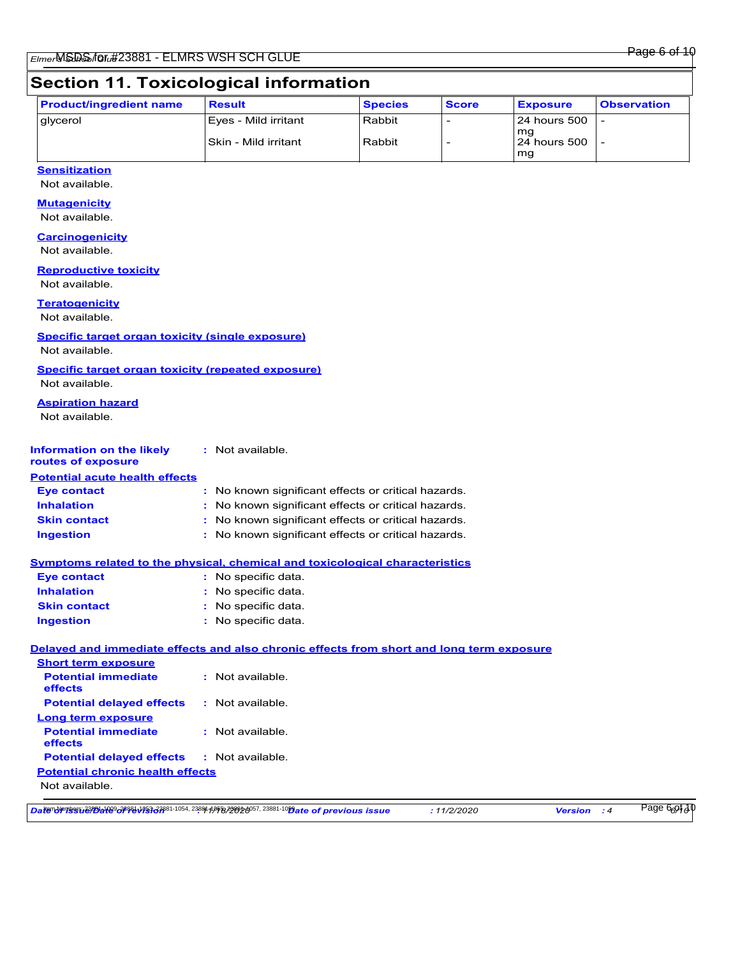# **Section 11. Toxicological information**

| <b>Product/ingredient name</b> | <b>Result</b>         | <b>Species</b> | <b>Score</b> | <b>Exposure</b>     | <b>Observation</b> |
|--------------------------------|-----------------------|----------------|--------------|---------------------|--------------------|
| <u>I</u> glycerol              | Eves - Mild irritant  | Rabbit         |              | <b>24 hours 500</b> |                    |
|                                | lSkin - Mild irritant | Rabbit         |              | mq<br>124 hours 500 |                    |
|                                |                       |                |              | mg                  |                    |

## **Sensitization**

Not available.

## **Mutagenicity**

Not available.

# **Carcinogenicity**

Not available.

#### **Reproductive toxicity**

Not available.

#### **Teratogenicity**

Not available.

## **Specific target organ toxicity (single exposure)**

Not available.

**Specific target organ toxicity (repeated exposure)** Not available.

## **Aspiration hazard**

Not available.

#### **Information on the likely routes of exposure :** Not available.

| <b>Potential acute health effects</b> |                                                     |
|---------------------------------------|-----------------------------------------------------|
| <b>Eve contact</b>                    | : No known significant effects or critical hazards. |
| <b>Inhalation</b>                     | : No known significant effects or critical hazards. |
| <b>Skin contact</b>                   | : No known significant effects or critical hazards. |
| <b>Ingestion</b>                      | : No known significant effects or critical hazards. |

#### **Symptoms related to the physical, chemical and toxicological characteristics**

| <b>Eye contact</b>  | $:$ No specific data. |
|---------------------|-----------------------|
| <b>Inhalation</b>   | : No specific data.   |
| <b>Skin contact</b> | : No specific data.   |
| <b>Ingestion</b>    | : No specific data.   |

## **Delayed and immediate effects and also chronic effects from short and long term exposure**

| <b>Short term exposure</b>                        |                  |
|---------------------------------------------------|------------------|
| <b>Potential immediate</b><br><b>effects</b>      | : Not available. |
| <b>Potential delayed effects</b>                  | : Not available. |
| Long term exposure                                |                  |
| <b>Potential immediate</b><br><b>effects</b>      | : Not available. |
| <b>Potential delayed effects : Not available.</b> |                  |
| <b>Potential chronic health effects</b>           |                  |
| Not available.                                    |                  |
|                                                   |                  |

*Date of issue/Date of revision* **:** *11/18/2020 Date of previous issue : 11/2/2020 Version : 4 6/10* Item Numbers: 23881-1009, 23881-1053, 23881-1054, 23881-1055, 23881-1057, 23881-1059 Page 6 of 10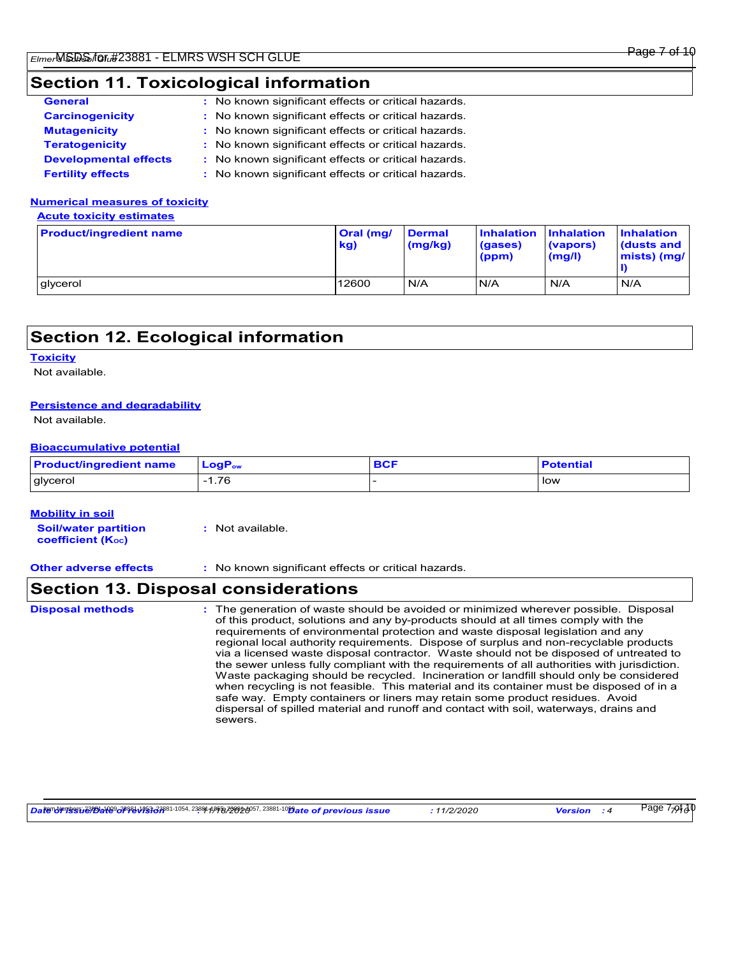# **Section 11. Toxicological information**

| <b>General</b>               | : No known significant effects or critical hazards. |
|------------------------------|-----------------------------------------------------|
| <b>Carcinogenicity</b>       | : No known significant effects or critical hazards. |
| <b>Mutagenicity</b>          | : No known significant effects or critical hazards. |
| <b>Teratogenicity</b>        | : No known significant effects or critical hazards. |
| <b>Developmental effects</b> | : No known significant effects or critical hazards. |
| <b>Fertility effects</b>     | : No known significant effects or critical hazards. |

## **Numerical measures of toxicity**

**Acute toxicity estimates**

| <b>Product/ingredient name</b> | <b>Oral (mg/</b><br>kg) | <b>Dermal</b><br>(mg/kg) | Inhalation Inhalation<br>(gases)<br>(ppm) | (vapors)<br>(mg/l) | <b>Inhalation</b><br>dusts and<br>$mists)$ (mg/ |
|--------------------------------|-------------------------|--------------------------|-------------------------------------------|--------------------|-------------------------------------------------|
| glycerol                       | 12600                   | N/A                      | N/A                                       | N/A                | N/A                                             |

# **Section 12. Ecological information**

#### **Toxicity**

Not available.

## **Persistence and degradability**

Not available.

## **Bioaccumulative potential**

| <b>Product/ingredient name</b> | LongP <sub>ow</sub> | <b>Potential</b> |
|--------------------------------|---------------------|------------------|
| glycerol                       | 1.76<br>- 1         | l low            |

#### **Mobility in soil**

**Soil/water partition coefficient (KOC) :** Not available.

**Other adverse effects :** No known significant effects or critical hazards.

# **Section 13. Disposal considerations**

The generation of waste should be avoided or minimized wherever possible. Disposal of this product, solutions and any by-products should at all times comply with the requirements of environmental protection and waste disposal legislation and any regional local authority requirements. Dispose of surplus and non-recyclable products via a licensed waste disposal contractor. Waste should not be disposed of untreated to the sewer unless fully compliant with the requirements of all authorities with jurisdiction. Waste packaging should be recycled. Incineration or landfill should only be considered when recycling is not feasible. This material and its container must be disposed of in a safe way. Empty containers or liners may retain some product residues. Avoid dispersal of spilled material and runoff and contact with soil, waterways, drains and sewers. **Disposal methods :**

*Date of issue/Date of revision* **:** *11/18/2020 Date of previous issue : 11/2/2020 Version : 4 7/10* Item Numbers: 23881-1009, 23881-1053, 23881-1054, 23881-1055, 23881-1057, 23881-1059 Page 7 of 10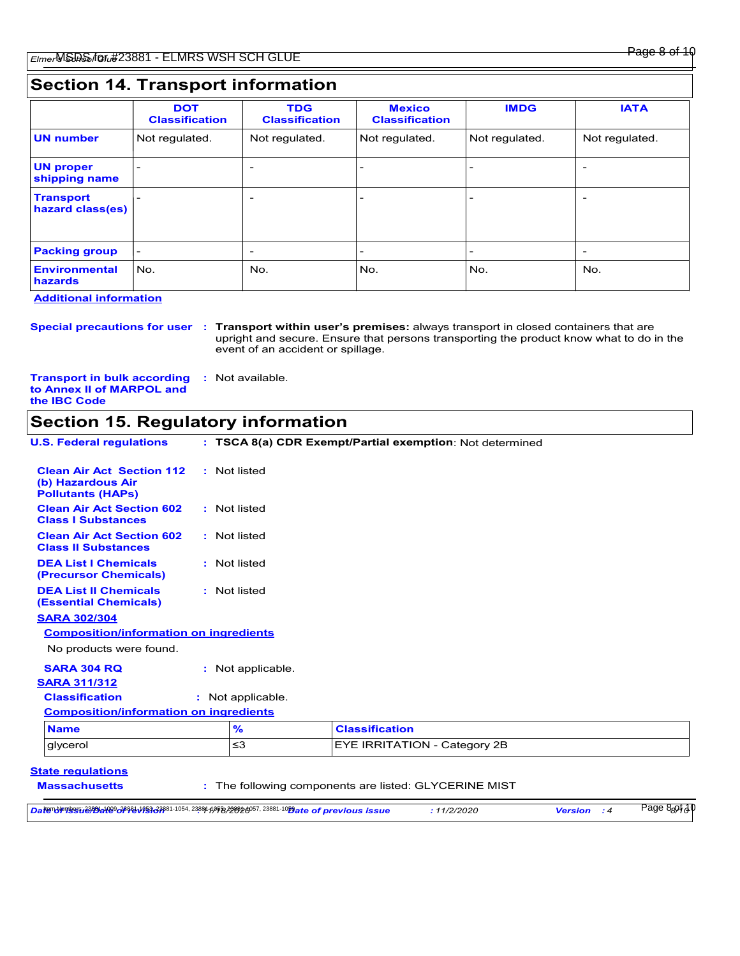|                                      | <b>DOT</b><br><b>Classification</b> | <b>TDG</b><br><b>Classification</b> | <b>Mexico</b><br><b>Classification</b> | <b>IMDG</b>              | <b>IATA</b>              |
|--------------------------------------|-------------------------------------|-------------------------------------|----------------------------------------|--------------------------|--------------------------|
| <b>UN number</b>                     | Not regulated.                      | Not regulated.                      | Not regulated.                         | Not regulated.           | Not regulated.           |
| <b>UN proper</b><br>shipping name    |                                     | $\overline{\phantom{0}}$            |                                        |                          |                          |
| <b>Transport</b><br>hazard class(es) |                                     | $\overline{\phantom{0}}$            |                                        | $\overline{\phantom{0}}$ | $\overline{\phantom{0}}$ |
| <b>Packing group</b>                 | $\overline{\phantom{0}}$            | $\overline{\phantom{0}}$            | $\overline{\phantom{0}}$               | $\overline{\phantom{a}}$ | $\overline{\phantom{0}}$ |
| <b>Environmental</b><br>hazards      | No.                                 | No.                                 | No.                                    | No.                      | No.                      |

**Additional information**

**Special precautions for user Transport within user's premises:** always transport in closed containers that are **:** upright and secure. Ensure that persons transporting the product know what to do in the event of an accident or spillage.

**Transport in bulk according :** Not available. **to Annex II of MARPOL and the IBC Code**

# **Section 15. Regulatory information**

|               | : TSCA 8(a) CDR Exempt/Partial exemption: Not determined                                                                                                                                                                 |
|---------------|--------------------------------------------------------------------------------------------------------------------------------------------------------------------------------------------------------------------------|
|               |                                                                                                                                                                                                                          |
|               |                                                                                                                                                                                                                          |
|               |                                                                                                                                                                                                                          |
|               |                                                                                                                                                                                                                          |
|               |                                                                                                                                                                                                                          |
|               |                                                                                                                                                                                                                          |
|               |                                                                                                                                                                                                                          |
|               |                                                                                                                                                                                                                          |
|               |                                                                                                                                                                                                                          |
|               |                                                                                                                                                                                                                          |
|               |                                                                                                                                                                                                                          |
|               |                                                                                                                                                                                                                          |
| $\frac{9}{6}$ | <b>Classification</b>                                                                                                                                                                                                    |
| $\leq$ 3      | EYE IRRITATION - Category 2B                                                                                                                                                                                             |
|               | : Not listed<br>: Not listed<br>: Not listed<br>: Not listed<br>: Not listed<br><b>Composition/information on ingredients</b><br>: Not applicable.<br>: Not applicable.<br><b>Composition/information on ingredients</b> |

| Datendringssy 239812109 c38881 1953 c3881 - 1054, 23881 1/958 23986 6057, 23881-10 Bate of previous issue | 1/2/2020 | <b>Version</b> | 8 <sub>8</sub> 9‡ქ1<br>Page |
|-----------------------------------------------------------------------------------------------------------|----------|----------------|-----------------------------|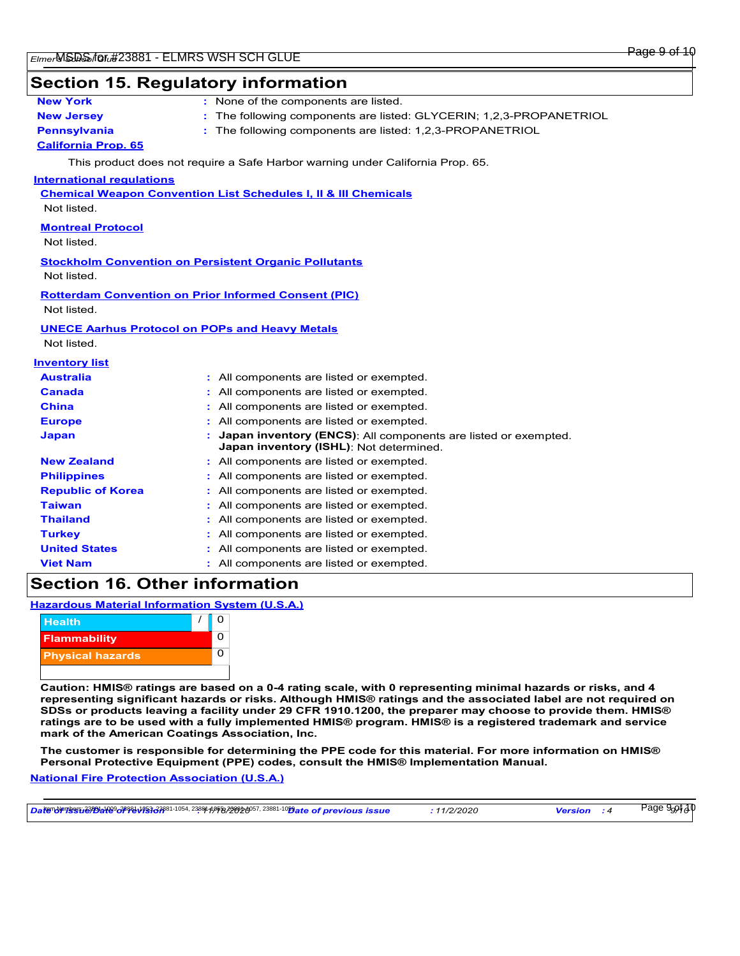## **Section 15. Regulatory information**

| New York |  |
|----------|--|
|          |  |

- 
- **:** None of the components are listed.
- **New Jersey :** The following components are listed: GLYCERIN; 1,2,3-PROPANETRIOL
- **Pennsylvania :** The following components are listed: 1,2,3-PROPANETRIOL

## **California Prop. 65**

This product does not require a Safe Harbor warning under California Prop. 65.

#### **International regulations**

**Chemical Weapon Convention List Schedules I, II & III Chemicals**

Not listed.

## **Montreal Protocol**

Not listed.

# **Stockholm Convention on Persistent Organic Pollutants**

Not listed.

## **Rotterdam Convention on Prior Informed Consent (PIC)**

Not listed.

#### **UNECE Aarhus Protocol on POPs and Heavy Metals**

Not listed.

#### **Inventory list**

| <b>Australia</b>         | : All components are listed or exempted.                                                                    |
|--------------------------|-------------------------------------------------------------------------------------------------------------|
| <b>Canada</b>            | : All components are listed or exempted.                                                                    |
| <b>China</b>             | : All components are listed or exempted.                                                                    |
| <b>Europe</b>            | : All components are listed or exempted.                                                                    |
| <b>Japan</b>             | : Japan inventory (ENCS): All components are listed or exempted.<br>Japan inventory (ISHL): Not determined. |
| <b>New Zealand</b>       | : All components are listed or exempted.                                                                    |
| <b>Philippines</b>       | : All components are listed or exempted.                                                                    |
| <b>Republic of Korea</b> | : All components are listed or exempted.                                                                    |
| <b>Taiwan</b>            | : All components are listed or exempted.                                                                    |
| <b>Thailand</b>          | : All components are listed or exempted.                                                                    |
| <b>Turkey</b>            | : All components are listed or exempted.                                                                    |
| <b>United States</b>     | : All components are listed or exempted.                                                                    |
| <b>Viet Nam</b>          | : All components are listed or exempted.                                                                    |

# **Section 16. Other information**

## **Hazardous Material Information System (U.S.A.)**



**Caution: HMIS® ratings are based on a 0-4 rating scale, with 0 representing minimal hazards or risks, and 4 representing significant hazards or risks. Although HMIS® ratings and the associated label are not required on SDSs or products leaving a facility under 29 CFR 1910.1200, the preparer may choose to provide them. HMIS® ratings are to be used with a fully implemented HMIS® program. HMIS® is a registered trademark and service mark of the American Coatings Association, Inc.**

**The customer is responsible for determining the PPE code for this material. For more information on HMIS® Personal Protective Equipment (PPE) codes, consult the HMIS® Implementation Manual.**

## **National Fire Protection Association (U.S.A.)**

| <b>Datendrivess, 2999419904989811953378</b> 81-1054, 2388119958, 298920057, 23881-1029ate of previous issue | 11/2/2020 | <b>Version</b> | Page 9 <sub>9</sub> 91, J C |
|-------------------------------------------------------------------------------------------------------------|-----------|----------------|-----------------------------|
|-------------------------------------------------------------------------------------------------------------|-----------|----------------|-----------------------------|